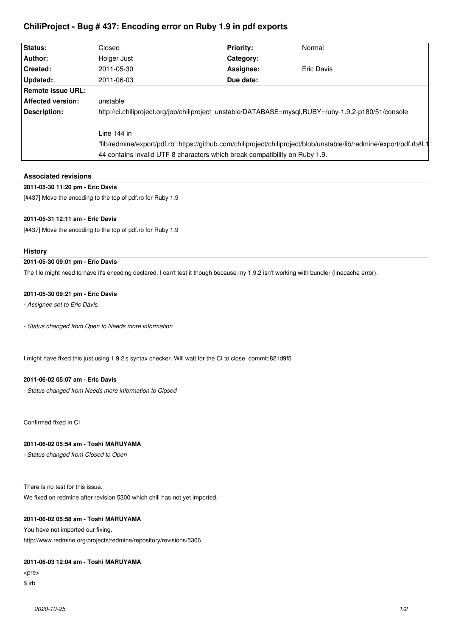# **ChiliProject - Bug # 437: Encoding error on Ruby 1.9 in pdf exports**

| Status:                  | Closed                                                                                                              | <b>Priority:</b> | Normal     |
|--------------------------|---------------------------------------------------------------------------------------------------------------------|------------------|------------|
| Author:                  | Holger Just                                                                                                         | Category:        |            |
| Created:                 | 2011-05-30                                                                                                          | Assignee:        | Eric Davis |
| Updated:                 | 2011-06-03                                                                                                          | Due date:        |            |
| Remote issue URL:        |                                                                                                                     |                  |            |
| <b>Affected version:</b> | unstable                                                                                                            |                  |            |
| Description:             | http://ci.chiliproject.org/job/chiliproject_unstable/DATABASE=mysql,RUBY=ruby-1.9.2-p180/51/console                 |                  |            |
|                          | Line 144 in                                                                                                         |                  |            |
|                          | "lib/redmine/export/pdf.rb":https://github.com/chiliproject/chiliproject/blob/unstable/lib/redmine/export/pdf.rb#L1 |                  |            |
|                          | 44 contains invalid UTF-8 characters which break compatibility on Ruby 1.9.                                         |                  |            |

| <b>Associated revisions</b>                                |
|------------------------------------------------------------|
| 2011-05-30 11:20 pm - Eric Davis                           |
| [#437] Move the encoding to the top of pdf.rb for Ruby 1.9 |

### **2011-05-31 12:11 am - Eric Davis**

[#437] Move the encoding to the top of pdf.rb for Ruby 1.9

### **History**

# **2011-05-30 09:01 pm - Eric Davis**

The file might need to have it's encoding declared. I can't test it though because my 1.9.2 isn't working with bundler (linecache error).

#### **2011-05-30 09:21 pm - Eric Davis**

*- Assignee set to Eric Davis*

*- Status changed from Open to Needs more information*

I might have fixed this just using 1.9.2's syntax checker. Will wait for the CI to close. commit:821d9f5

### **2011-06-02 05:07 am - Eric Davis**

*- Status changed from Needs more information to Closed*

Confirmed fixed in CI

# **2011-06-02 05:54 am - Toshi MARUYAMA**

*- Status changed from Closed to Open*

There is no test for this issue.

We fixed on redmine after revision 5300 which chili has not yet imported.

### **2011-06-02 05:58 am - Toshi MARUYAMA**

You have not imported our fixing. http://www.redmine.org/projects/redmine/repository/revisions/5306

#### **2011-06-03 12:04 am - Toshi MARUYAMA**

<pre> \$ irb